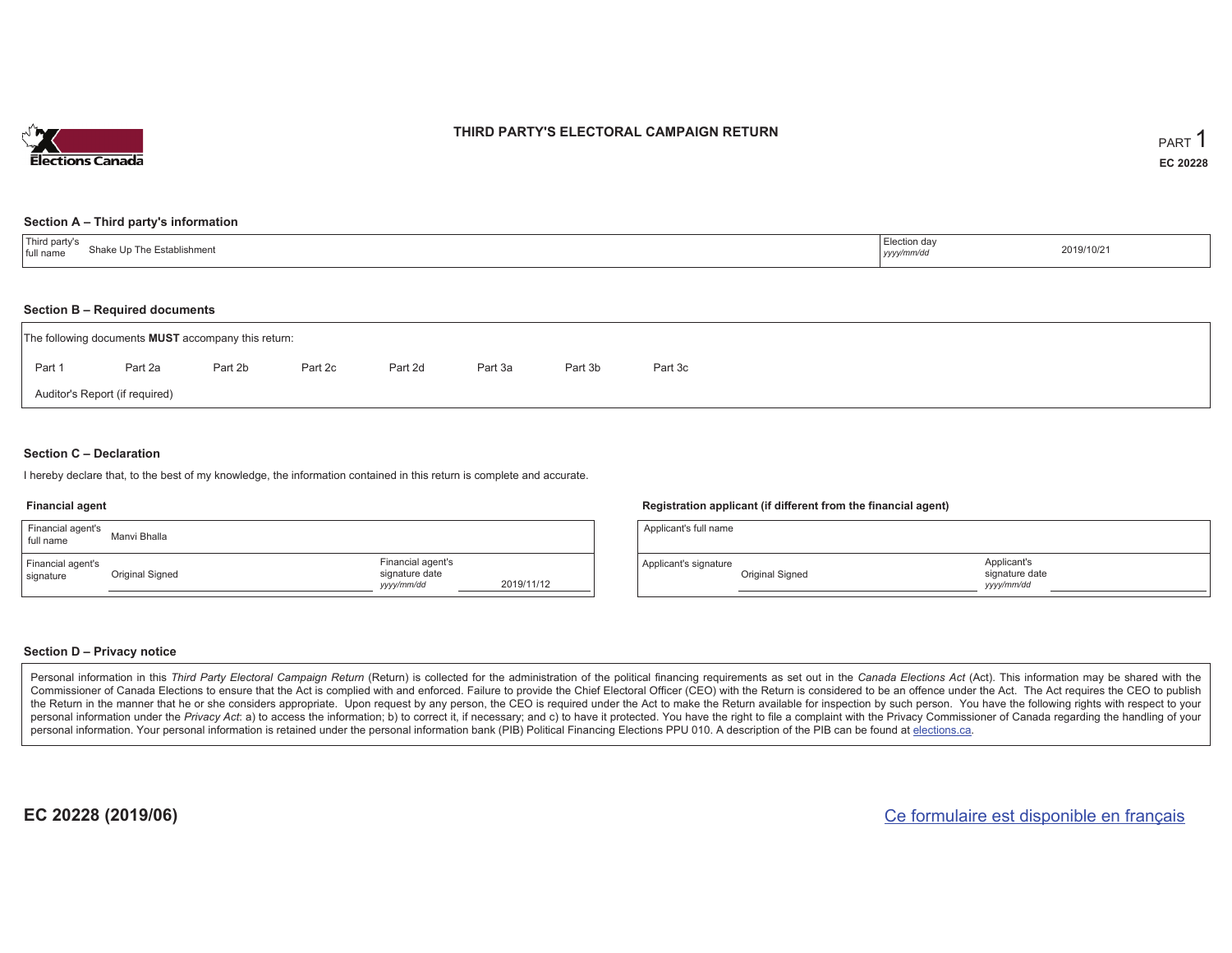

### **THIRD PARTY'S ELECTORAL CAMPAIGN RETURN**

#### **Section A – Third party's information**

| $\pm$ Third narty s<br>` The Establishmen.<br>shake Ur<br>I full name | $\angle$ lection dav<br>yyyy/mm/dd | 2019/10/21 |
|-----------------------------------------------------------------------|------------------------------------|------------|
|-----------------------------------------------------------------------|------------------------------------|------------|

#### **Section B – Required documents**

|        | The following documents <b>MUST</b> accompany this return: |         |         |         |         |         |         |  |  |  |  |  |  |
|--------|------------------------------------------------------------|---------|---------|---------|---------|---------|---------|--|--|--|--|--|--|
| Part 1 | Part 2a                                                    | Part 2b | Part 2c | Part 2d | Part 3a | Part 3b | Part 3c |  |  |  |  |  |  |
|        | Auditor's Report (if required)                             |         |         |         |         |         |         |  |  |  |  |  |  |

### **Section C – Declaration**

I hereby declare that, to the best of my knowledge, the information contained in this return is complete and accurate.

#### **Financial agent**

| Financial agent's<br>full name | Manyi Bhalla    |                                                   |            |
|--------------------------------|-----------------|---------------------------------------------------|------------|
| Financial agent's<br>signature | Original Signed | Financial agent's<br>signature date<br>yyyy/mm/dd | 2019/11/12 |

#### **Registration applicant (if different from the financial agent)**

| Applicant's full name |                 |                                            |  |
|-----------------------|-----------------|--------------------------------------------|--|
| Applicant's signature | Original Signed | Applicant's<br>signature date<br>vyy/mm/dd |  |

### **Section D – Privacy notice**

Personal information in this Third Party Electoral Campaign Return (Return) is collected for the administration of the political financing requirements as set out in the Canada Elections Act (Act). This information may be Commissioner of Canada Elections to ensure that the Act is complied with and enforced. Failure to provide the Chief Electoral Officer (CEO) with the Return is considered to be an offence under the Act. The Act requires the the Return in the manner that he or she considers appropriate. Upon request by any person, the CEO is required under the Act to make the Return available for inspection by such person. You have the following rights with re personal information under the Privacy Act: a) to access the information; b) to correct it, if necessary; and c) to have it protected. You have the right to file a complaint with the Privacy Commissioner of Canada regardin personal information. Your personal information is retained under the personal information bank (PIB) Political Financing Elections PPU 010. A description of the PIB can be found at elections.ca.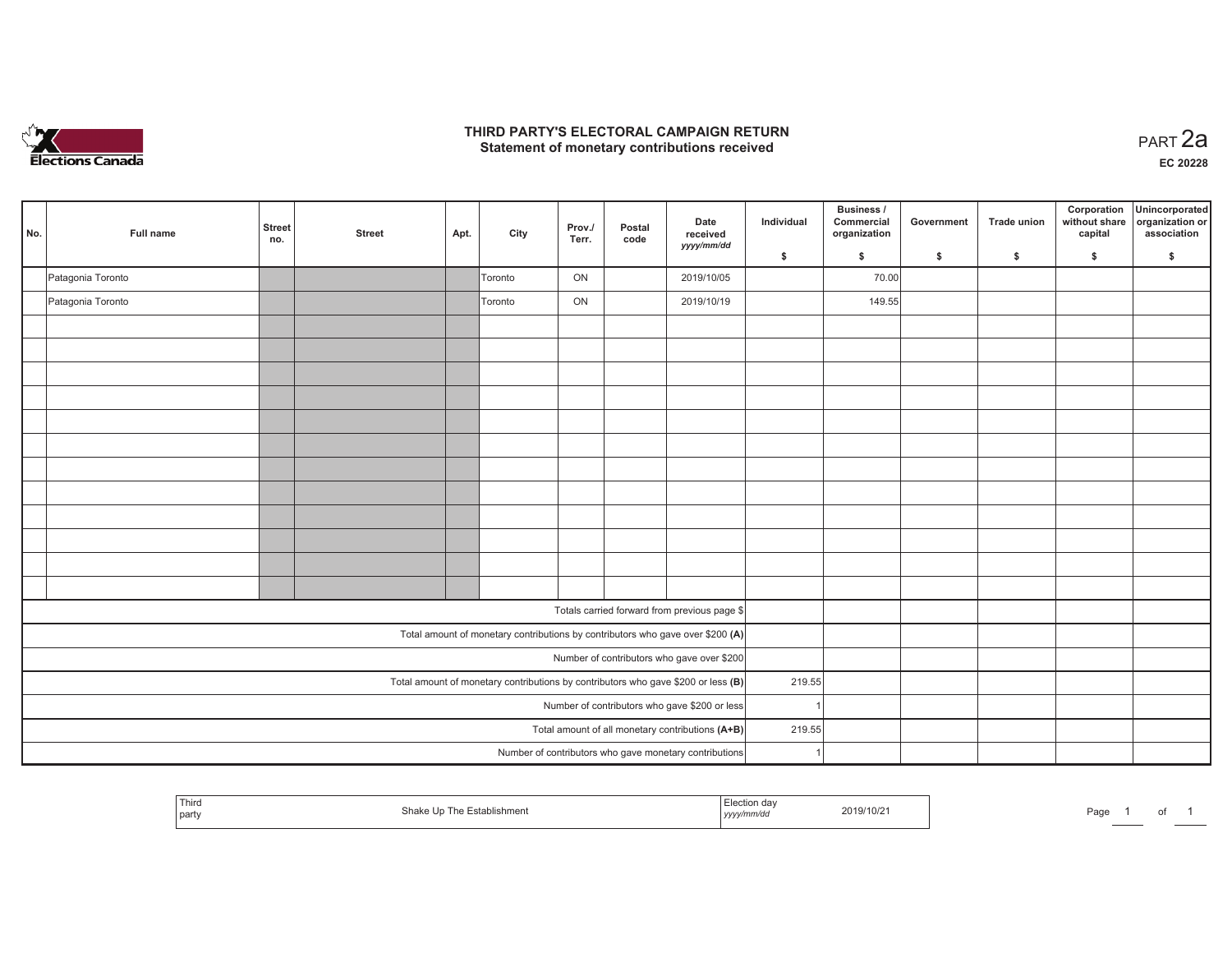

## **THIRD PARTY'S ELECTORAL CAMPAIGN RETURN HIRD PARTY'S ELECTORAL CAMPAIGN RETURN<br>Statement of monetary contributions received PART 2a**

| No. | Full name                                     | <b>Street</b><br>no. | <b>Street</b> | Apt. | City           | Prov./<br>Terr. | Postal<br>code | Date<br>received<br>yyyy/mm/dd                                                      | Individual | Business /<br>Commercial<br>organization | Government | <b>Trade union</b> | Corporation<br>without share<br>capital | Unincorporated<br>organization or<br>association |
|-----|-----------------------------------------------|----------------------|---------------|------|----------------|-----------------|----------------|-------------------------------------------------------------------------------------|------------|------------------------------------------|------------|--------------------|-----------------------------------------|--------------------------------------------------|
|     |                                               |                      |               |      |                |                 |                |                                                                                     | \$         | \$                                       | \$         | \$                 | \$                                      | \$                                               |
|     | Patagonia Toronto                             |                      |               |      | <b>Toronto</b> | ON              |                | 2019/10/05                                                                          |            | 70.00                                    |            |                    |                                         |                                                  |
|     | Patagonia Toronto                             |                      |               |      | Toronto        | ON              |                | 2019/10/19                                                                          |            | 149.55                                   |            |                    |                                         |                                                  |
|     |                                               |                      |               |      |                |                 |                |                                                                                     |            |                                          |            |                    |                                         |                                                  |
|     |                                               |                      |               |      |                |                 |                |                                                                                     |            |                                          |            |                    |                                         |                                                  |
|     |                                               |                      |               |      |                |                 |                |                                                                                     |            |                                          |            |                    |                                         |                                                  |
|     |                                               |                      |               |      |                |                 |                |                                                                                     |            |                                          |            |                    |                                         |                                                  |
|     |                                               |                      |               |      |                |                 |                |                                                                                     |            |                                          |            |                    |                                         |                                                  |
|     |                                               |                      |               |      |                |                 |                |                                                                                     |            |                                          |            |                    |                                         |                                                  |
|     |                                               |                      |               |      |                |                 |                |                                                                                     |            |                                          |            |                    |                                         |                                                  |
|     |                                               |                      |               |      |                |                 |                |                                                                                     |            |                                          |            |                    |                                         |                                                  |
|     |                                               |                      |               |      |                |                 |                |                                                                                     |            |                                          |            |                    |                                         |                                                  |
|     |                                               |                      |               |      |                |                 |                |                                                                                     |            |                                          |            |                    |                                         |                                                  |
|     |                                               |                      |               |      |                |                 |                |                                                                                     |            |                                          |            |                    |                                         |                                                  |
|     |                                               |                      |               |      |                |                 |                |                                                                                     |            |                                          |            |                    |                                         |                                                  |
|     |                                               |                      |               |      |                |                 |                | Totals carried forward from previous page \$                                        |            |                                          |            |                    |                                         |                                                  |
|     |                                               |                      |               |      |                |                 |                | Total amount of monetary contributions by contributors who gave over \$200 (A)      |            |                                          |            |                    |                                         |                                                  |
|     |                                               |                      |               |      |                |                 |                | Number of contributors who gave over \$200                                          |            |                                          |            |                    |                                         |                                                  |
|     |                                               |                      |               |      |                |                 |                | Total amount of monetary contributions by contributors who gave \$200 or less $(B)$ | 219.55     |                                          |            |                    |                                         |                                                  |
|     | Number of contributors who gave \$200 or less |                      |               |      |                |                 |                |                                                                                     |            |                                          |            |                    |                                         |                                                  |
|     |                                               |                      |               |      |                |                 |                | Total amount of all monetary contributions (A+B)                                    | 219.55     |                                          |            |                    |                                         |                                                  |
|     |                                               |                      |               |      |                |                 |                | Number of contributors who gave monetary contributions                              |            |                                          |            |                    |                                         |                                                  |

| Third<br>Establishment<br>shake<br>⊢U n<br>party | tion da\<br>2019/10/21<br>yyyymmuu | Page |
|--------------------------------------------------|------------------------------------|------|
|--------------------------------------------------|------------------------------------|------|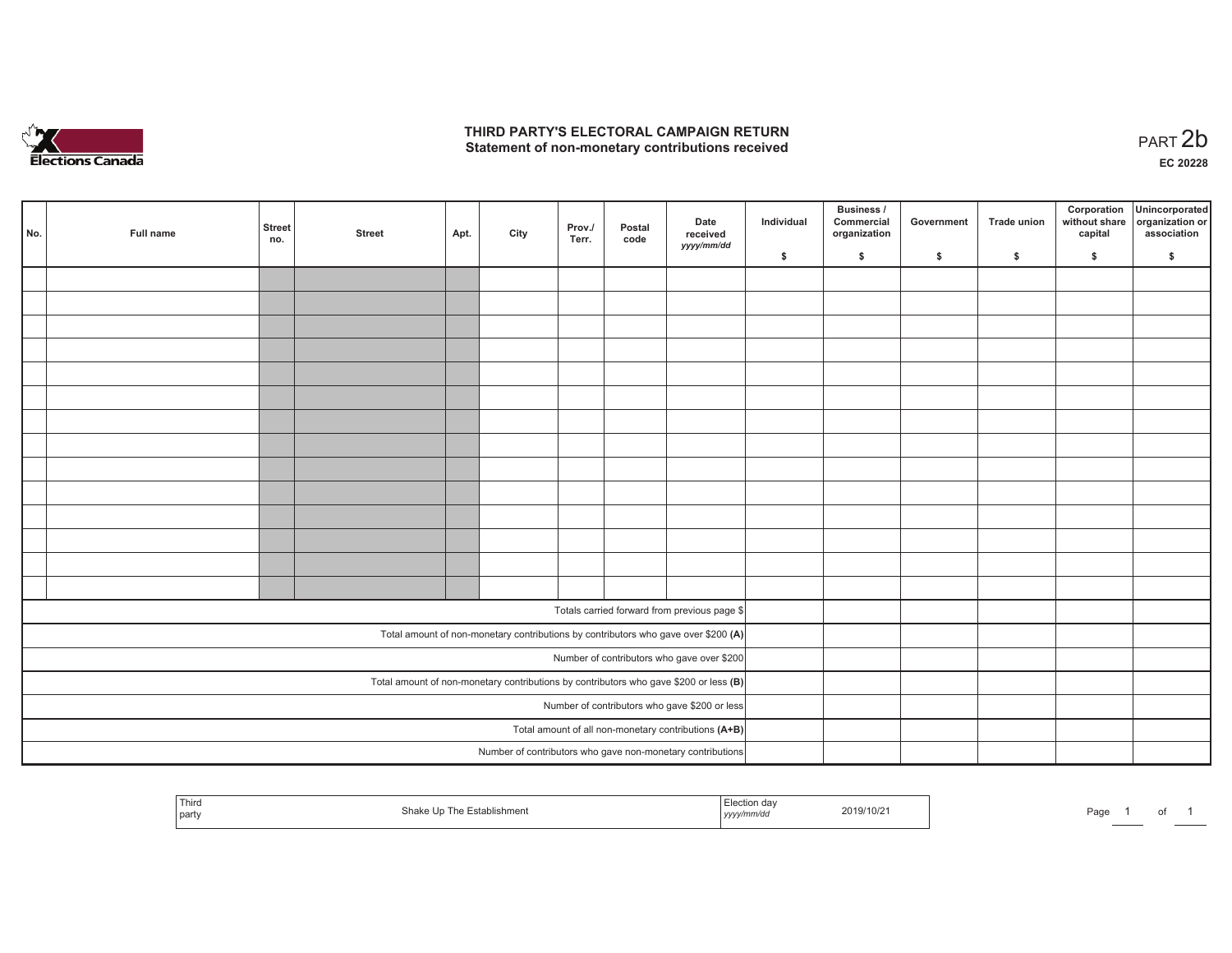

## **THIRD PARTY'S ELECTORAL CAMPAIGN RETURN**  THIRD PARTY'S ELECTORAL CAMPAIGN RETURN<br>Statement of non-monetary contributions received<br> **PART 2b**

| No.                                           | Full name | <b>Street</b><br>no. | <b>Street</b> | Apt. | City | Prov./<br>Terr. | Postal<br>code | Date<br>received<br>yyyy/mm/dd                                                          | Individual | <b>Business /</b><br>Commercial<br>organization | Government   | Trade union  | Corporation<br>capital | Unincorporated<br>without share organization or<br>association |
|-----------------------------------------------|-----------|----------------------|---------------|------|------|-----------------|----------------|-----------------------------------------------------------------------------------------|------------|-------------------------------------------------|--------------|--------------|------------------------|----------------------------------------------------------------|
|                                               |           |                      |               |      |      |                 |                |                                                                                         | \$         | \$                                              | $\mathsf{s}$ | $\mathbf{s}$ | \$                     | \$                                                             |
|                                               |           |                      |               |      |      |                 |                |                                                                                         |            |                                                 |              |              |                        |                                                                |
|                                               |           |                      |               |      |      |                 |                |                                                                                         |            |                                                 |              |              |                        |                                                                |
|                                               |           |                      |               |      |      |                 |                |                                                                                         |            |                                                 |              |              |                        |                                                                |
|                                               |           |                      |               |      |      |                 |                |                                                                                         |            |                                                 |              |              |                        |                                                                |
|                                               |           |                      |               |      |      |                 |                |                                                                                         |            |                                                 |              |              |                        |                                                                |
|                                               |           |                      |               |      |      |                 |                |                                                                                         |            |                                                 |              |              |                        |                                                                |
|                                               |           |                      |               |      |      |                 |                |                                                                                         |            |                                                 |              |              |                        |                                                                |
|                                               |           |                      |               |      |      |                 |                |                                                                                         |            |                                                 |              |              |                        |                                                                |
|                                               |           |                      |               |      |      |                 |                |                                                                                         |            |                                                 |              |              |                        |                                                                |
|                                               |           |                      |               |      |      |                 |                |                                                                                         |            |                                                 |              |              |                        |                                                                |
|                                               |           |                      |               |      |      |                 |                |                                                                                         |            |                                                 |              |              |                        |                                                                |
|                                               |           |                      |               |      |      |                 |                |                                                                                         |            |                                                 |              |              |                        |                                                                |
|                                               |           |                      |               |      |      |                 |                |                                                                                         |            |                                                 |              |              |                        |                                                                |
|                                               |           |                      |               |      |      |                 |                |                                                                                         |            |                                                 |              |              |                        |                                                                |
|                                               |           |                      |               |      |      |                 |                | Totals carried forward from previous page \$                                            |            |                                                 |              |              |                        |                                                                |
|                                               |           |                      |               |      |      |                 |                |                                                                                         |            |                                                 |              |              |                        |                                                                |
|                                               |           |                      |               |      |      |                 |                | Total amount of non-monetary contributions by contributors who gave over \$200 (A)      |            |                                                 |              |              |                        |                                                                |
|                                               |           |                      |               |      |      |                 |                | Number of contributors who gave over \$200                                              |            |                                                 |              |              |                        |                                                                |
|                                               |           |                      |               |      |      |                 |                | Total amount of non-monetary contributions by contributors who gave \$200 or less $(B)$ |            |                                                 |              |              |                        |                                                                |
| Number of contributors who gave \$200 or less |           |                      |               |      |      |                 |                |                                                                                         |            |                                                 |              |              |                        |                                                                |
|                                               |           |                      |               |      |      |                 |                | Total amount of all non-monetary contributions (A+B)                                    |            |                                                 |              |              |                        |                                                                |
|                                               |           |                      |               |      |      |                 |                | Number of contributors who gave non-monetary contributions                              |            |                                                 |              |              |                        |                                                                |

| Third<br>  party | Establishment<br>shake Un The I | ∟iection da∨<br>2019/10/21<br>yyyy/mm/dd | Page |
|------------------|---------------------------------|------------------------------------------|------|
|------------------|---------------------------------|------------------------------------------|------|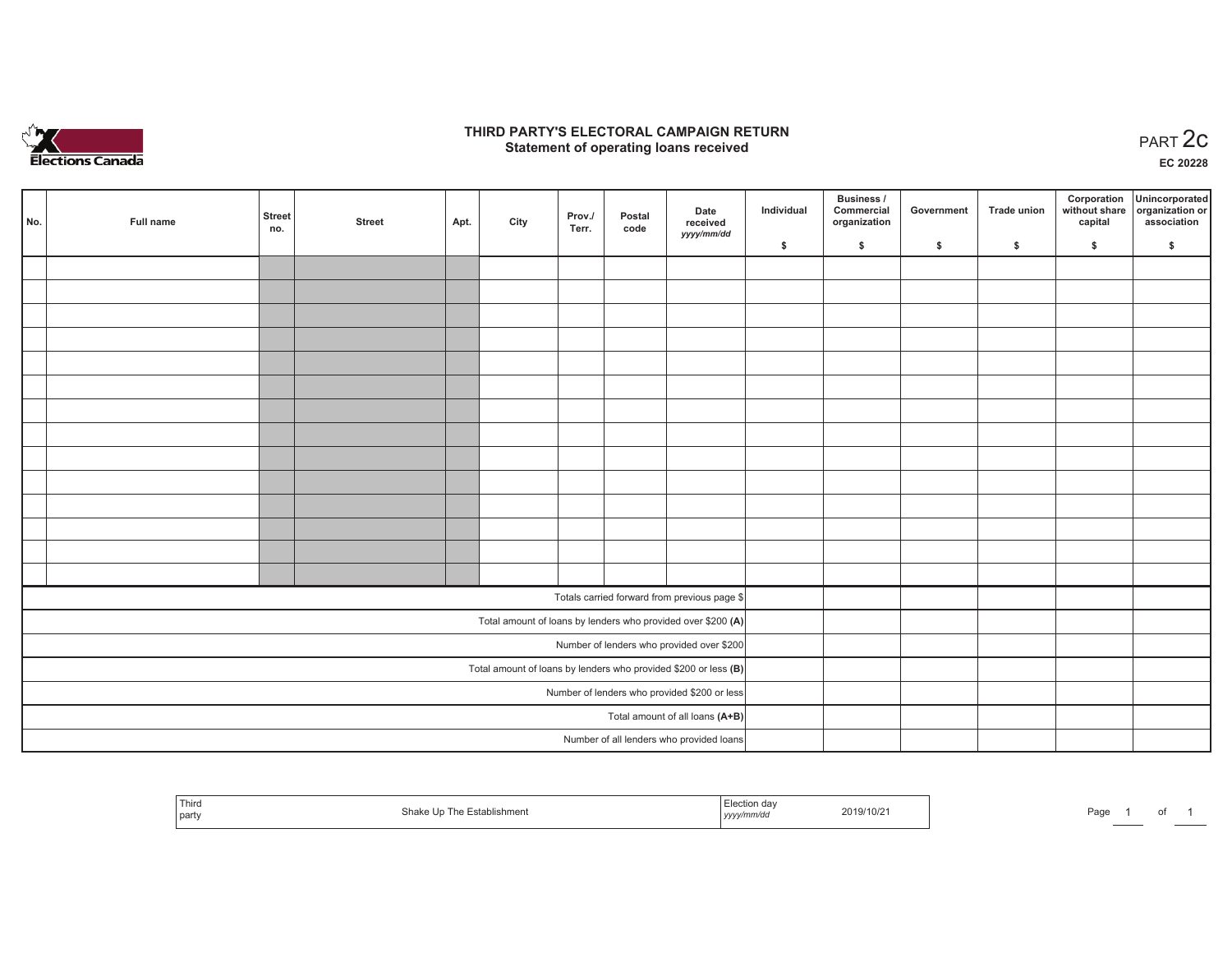

## **THIRD PARTY'S ELECTORAL CAMPAIGN RETURN STATE:** PERSON SELECTORAL CAMPAIGN RETURN<br>
Statement of operating loans received

**EC 20228**

| No. | Full name | <b>Street</b><br>no. | <b>Street</b> | Apt. | City | Prov./<br>Terr. | Postal<br>code | Date<br>received                                                | Individual | Business /<br>Commercial<br>organization | Government | Trade union | Corporation<br>capital | Unincorporated<br>without share organization or<br>association |
|-----|-----------|----------------------|---------------|------|------|-----------------|----------------|-----------------------------------------------------------------|------------|------------------------------------------|------------|-------------|------------------------|----------------------------------------------------------------|
|     |           |                      |               |      |      |                 |                | yyyy/mm/dd                                                      | \$         | \$                                       | \$         | \$          | \$                     | \$                                                             |
|     |           |                      |               |      |      |                 |                |                                                                 |            |                                          |            |             |                        |                                                                |
|     |           |                      |               |      |      |                 |                |                                                                 |            |                                          |            |             |                        |                                                                |
|     |           |                      |               |      |      |                 |                |                                                                 |            |                                          |            |             |                        |                                                                |
|     |           |                      |               |      |      |                 |                |                                                                 |            |                                          |            |             |                        |                                                                |
|     |           |                      |               |      |      |                 |                |                                                                 |            |                                          |            |             |                        |                                                                |
|     |           |                      |               |      |      |                 |                |                                                                 |            |                                          |            |             |                        |                                                                |
|     |           |                      |               |      |      |                 |                |                                                                 |            |                                          |            |             |                        |                                                                |
|     |           |                      |               |      |      |                 |                |                                                                 |            |                                          |            |             |                        |                                                                |
|     |           |                      |               |      |      |                 |                |                                                                 |            |                                          |            |             |                        |                                                                |
|     |           |                      |               |      |      |                 |                |                                                                 |            |                                          |            |             |                        |                                                                |
|     |           |                      |               |      |      |                 |                |                                                                 |            |                                          |            |             |                        |                                                                |
|     |           |                      |               |      |      |                 |                |                                                                 |            |                                          |            |             |                        |                                                                |
|     |           |                      |               |      |      |                 |                |                                                                 |            |                                          |            |             |                        |                                                                |
|     |           |                      |               |      |      |                 |                |                                                                 |            |                                          |            |             |                        |                                                                |
|     |           |                      |               |      |      |                 |                | Totals carried forward from previous page \$                    |            |                                          |            |             |                        |                                                                |
|     |           |                      |               |      |      |                 |                | Total amount of loans by lenders who provided over \$200 (A)    |            |                                          |            |             |                        |                                                                |
|     |           |                      |               |      |      |                 |                | Number of lenders who provided over \$200                       |            |                                          |            |             |                        |                                                                |
|     |           |                      |               |      |      |                 |                | Total amount of loans by lenders who provided \$200 or less (B) |            |                                          |            |             |                        |                                                                |
|     |           |                      |               |      |      |                 |                | Number of lenders who provided \$200 or less                    |            |                                          |            |             |                        |                                                                |
|     |           |                      |               |      |      |                 |                | Total amount of all loans (A+B)                                 |            |                                          |            |             |                        |                                                                |
|     |           |                      |               |      |      |                 |                | Number of all lenders who provided loans                        |            |                                          |            |             |                        |                                                                |

| Third<br>party | .hishmen\ | ____uului uw<br>yyyymmaa | 2019/10/2 | Page |  | ω |  |
|----------------|-----------|--------------------------|-----------|------|--|---|--|
|----------------|-----------|--------------------------|-----------|------|--|---|--|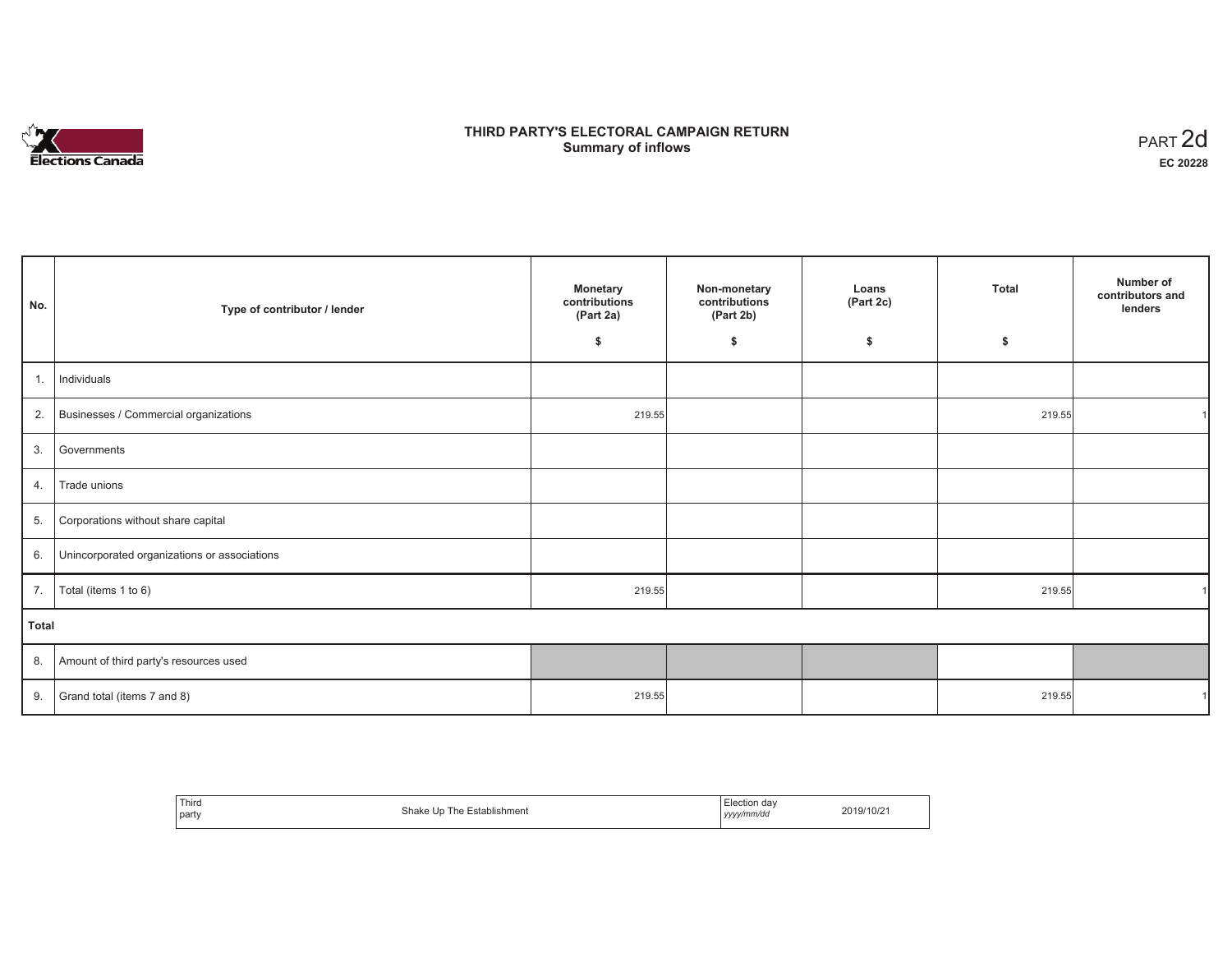

# **THIRD PARTY'S ELECTORAL CAMPAIGN RETURN S** ELECTORAL CAMPAIGN RETURN<br>Summary of inflows PART 2d

| No.   | Type of contributor / lender                    | Monetary<br>contributions<br>(Part 2a) | Non-monetary<br>contributions<br>(Part 2b) | Loans<br>(Part 2c) | <b>Total</b> | Number of<br>contributors and<br>lenders |
|-------|-------------------------------------------------|----------------------------------------|--------------------------------------------|--------------------|--------------|------------------------------------------|
|       |                                                 | \$                                     | \$                                         | \$                 | \$           |                                          |
| 1.    | Individuals                                     |                                        |                                            |                    |              |                                          |
|       | 2. Businesses / Commercial organizations        | 219.55                                 |                                            |                    | 219.55       |                                          |
|       | 3. Governments                                  |                                        |                                            |                    |              |                                          |
| 4.    | Trade unions                                    |                                        |                                            |                    |              |                                          |
| 5.    | Corporations without share capital              |                                        |                                            |                    |              |                                          |
|       | 6. Unincorporated organizations or associations |                                        |                                            |                    |              |                                          |
| 7.    | Total (items 1 to 6)                            | 219.55                                 |                                            |                    | 219.55       |                                          |
| Total |                                                 |                                        |                                            |                    |              |                                          |
|       | 8. Amount of third party's resources used       |                                        |                                            |                    |              |                                          |
|       | 9. Grand total (items $7$ and $8$ )             | 219.55                                 |                                            |                    | 219.55       |                                          |

| Third | Shake             | Election dav | 2019/10/21 |
|-------|-------------------|--------------|------------|
|       | The Establishment |              |            |
| party | Un.               | l yyyy/mm/dd |            |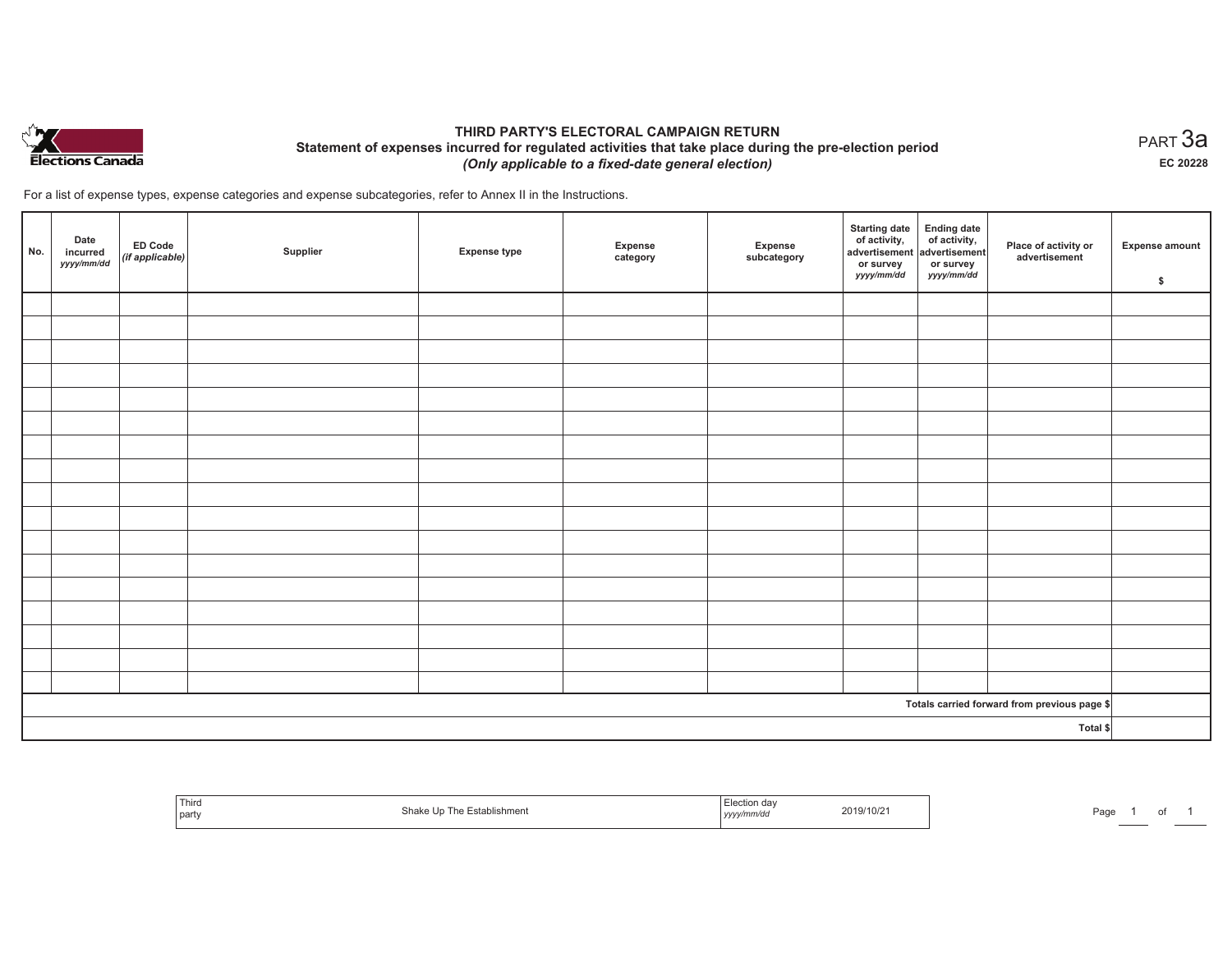

## **THIRD PARTY'S ELECTORAL CAMPAIGN RETURN Statement of expenses incurred for regulated activities that take place during the pre-election period**  *(Only applicable to a fixed-date general election)*

For a list of expense types, expense categories and expense subcategories, refer to Annex II in the Instructions.

| No.      | Date<br>incurred<br>yyyy/mm/dd | <b>ED Code</b><br>$($ if applicable $)$ | Supplier | <b>Expense type</b> | Expense<br>category | Expense<br>subcategory | <b>Starting date</b><br>of activity,<br>advertisement<br>or survey<br>yyyy/mm/dd | Ending date<br>of activity,<br>advertisement<br>or survey<br>yyyy/mm/dd | Place of activity or<br>advertisement        | <b>Expense amount</b><br>\$ |
|----------|--------------------------------|-----------------------------------------|----------|---------------------|---------------------|------------------------|----------------------------------------------------------------------------------|-------------------------------------------------------------------------|----------------------------------------------|-----------------------------|
|          |                                |                                         |          |                     |                     |                        |                                                                                  |                                                                         |                                              |                             |
|          |                                |                                         |          |                     |                     |                        |                                                                                  |                                                                         |                                              |                             |
|          |                                |                                         |          |                     |                     |                        |                                                                                  |                                                                         |                                              |                             |
|          |                                |                                         |          |                     |                     |                        |                                                                                  |                                                                         |                                              |                             |
|          |                                |                                         |          |                     |                     |                        |                                                                                  |                                                                         |                                              |                             |
|          |                                |                                         |          |                     |                     |                        |                                                                                  |                                                                         |                                              |                             |
|          |                                |                                         |          |                     |                     |                        |                                                                                  |                                                                         |                                              |                             |
|          |                                |                                         |          |                     |                     |                        |                                                                                  |                                                                         |                                              |                             |
|          |                                |                                         |          |                     |                     |                        |                                                                                  |                                                                         |                                              |                             |
|          |                                |                                         |          |                     |                     |                        |                                                                                  |                                                                         |                                              |                             |
|          |                                |                                         |          |                     |                     |                        |                                                                                  |                                                                         |                                              |                             |
|          |                                |                                         |          |                     |                     |                        |                                                                                  |                                                                         |                                              |                             |
|          |                                |                                         |          |                     |                     |                        |                                                                                  |                                                                         |                                              |                             |
|          |                                |                                         |          |                     |                     |                        |                                                                                  |                                                                         |                                              |                             |
|          |                                |                                         |          |                     |                     |                        |                                                                                  |                                                                         |                                              |                             |
|          |                                |                                         |          |                     |                     |                        |                                                                                  |                                                                         |                                              |                             |
|          |                                |                                         |          |                     |                     |                        |                                                                                  |                                                                         |                                              |                             |
|          |                                |                                         |          |                     |                     |                        |                                                                                  |                                                                         | Totals carried forward from previous page \$ |                             |
| Total \$ |                                |                                         |          |                     |                     |                        |                                                                                  |                                                                         |                                              |                             |

| <sup>1</sup> Thiro<br>  party | Shake Up The Establishment | Election day<br>2019/10/21<br>yyyy/mm/dd | Page |
|-------------------------------|----------------------------|------------------------------------------|------|
|-------------------------------|----------------------------|------------------------------------------|------|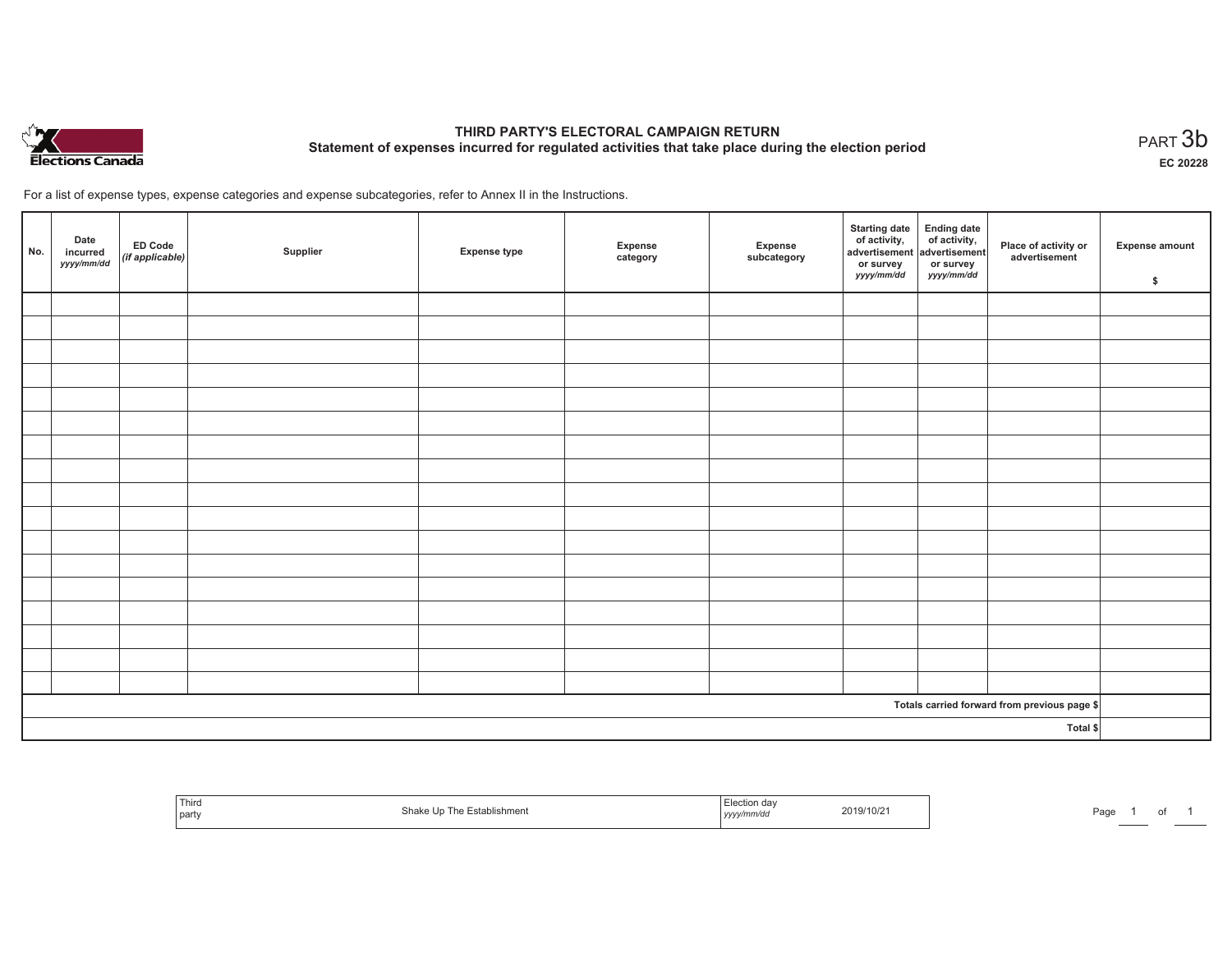

# **THIRD PARTY'S ELECTORAL CAMPAIGN RETURN Statement of expenses incurred for regulated activities that take place during the election period**<br>PART  $3b$

**EC 20228**

For a list of expense types, expense categories and expense subcategories, refer to Annex II in the Instructions.

| No.      | Date<br>incurred<br>yyyy/mm/dd | ED Code<br>(if applicable) | Supplier | <b>Expense type</b> | Expense<br>category | Expense<br>subcategory | Starting date Ending date<br>of activity, of activity,<br>advertisement advertisement<br>or survey<br>yyyy/mm/dd | or survey<br><i>yyyy/mm/dd</i> | Place of activity or<br>advertisement        | <b>Expense amount</b><br>\$ |
|----------|--------------------------------|----------------------------|----------|---------------------|---------------------|------------------------|------------------------------------------------------------------------------------------------------------------|--------------------------------|----------------------------------------------|-----------------------------|
|          |                                |                            |          |                     |                     |                        |                                                                                                                  |                                |                                              |                             |
|          |                                |                            |          |                     |                     |                        |                                                                                                                  |                                |                                              |                             |
|          |                                |                            |          |                     |                     |                        |                                                                                                                  |                                |                                              |                             |
|          |                                |                            |          |                     |                     |                        |                                                                                                                  |                                |                                              |                             |
|          |                                |                            |          |                     |                     |                        |                                                                                                                  |                                |                                              |                             |
|          |                                |                            |          |                     |                     |                        |                                                                                                                  |                                |                                              |                             |
|          |                                |                            |          |                     |                     |                        |                                                                                                                  |                                |                                              |                             |
|          |                                |                            |          |                     |                     |                        |                                                                                                                  |                                |                                              |                             |
|          |                                |                            |          |                     |                     |                        |                                                                                                                  |                                |                                              |                             |
|          |                                |                            |          |                     |                     |                        |                                                                                                                  |                                |                                              |                             |
|          |                                |                            |          |                     |                     |                        |                                                                                                                  |                                |                                              |                             |
|          |                                |                            |          |                     |                     |                        |                                                                                                                  |                                |                                              |                             |
|          |                                |                            |          |                     |                     |                        |                                                                                                                  |                                |                                              |                             |
|          |                                |                            |          |                     |                     |                        |                                                                                                                  |                                |                                              |                             |
|          |                                |                            |          |                     |                     |                        |                                                                                                                  |                                |                                              |                             |
|          |                                |                            |          |                     |                     |                        |                                                                                                                  |                                |                                              |                             |
|          |                                |                            |          |                     |                     |                        |                                                                                                                  |                                |                                              |                             |
|          |                                |                            |          |                     |                     |                        |                                                                                                                  |                                | Totals carried forward from previous page \$ |                             |
| Total \$ |                                |                            |          |                     |                     |                        |                                                                                                                  |                                |                                              |                             |

| Third<br>Establishment<br>Shok.<br>l h<br>l party<br>una | Election dav<br>2019/10/2<br>, <i>yyyymmv</i> aa | Page<br>. . |
|----------------------------------------------------------|--------------------------------------------------|-------------|
|----------------------------------------------------------|--------------------------------------------------|-------------|